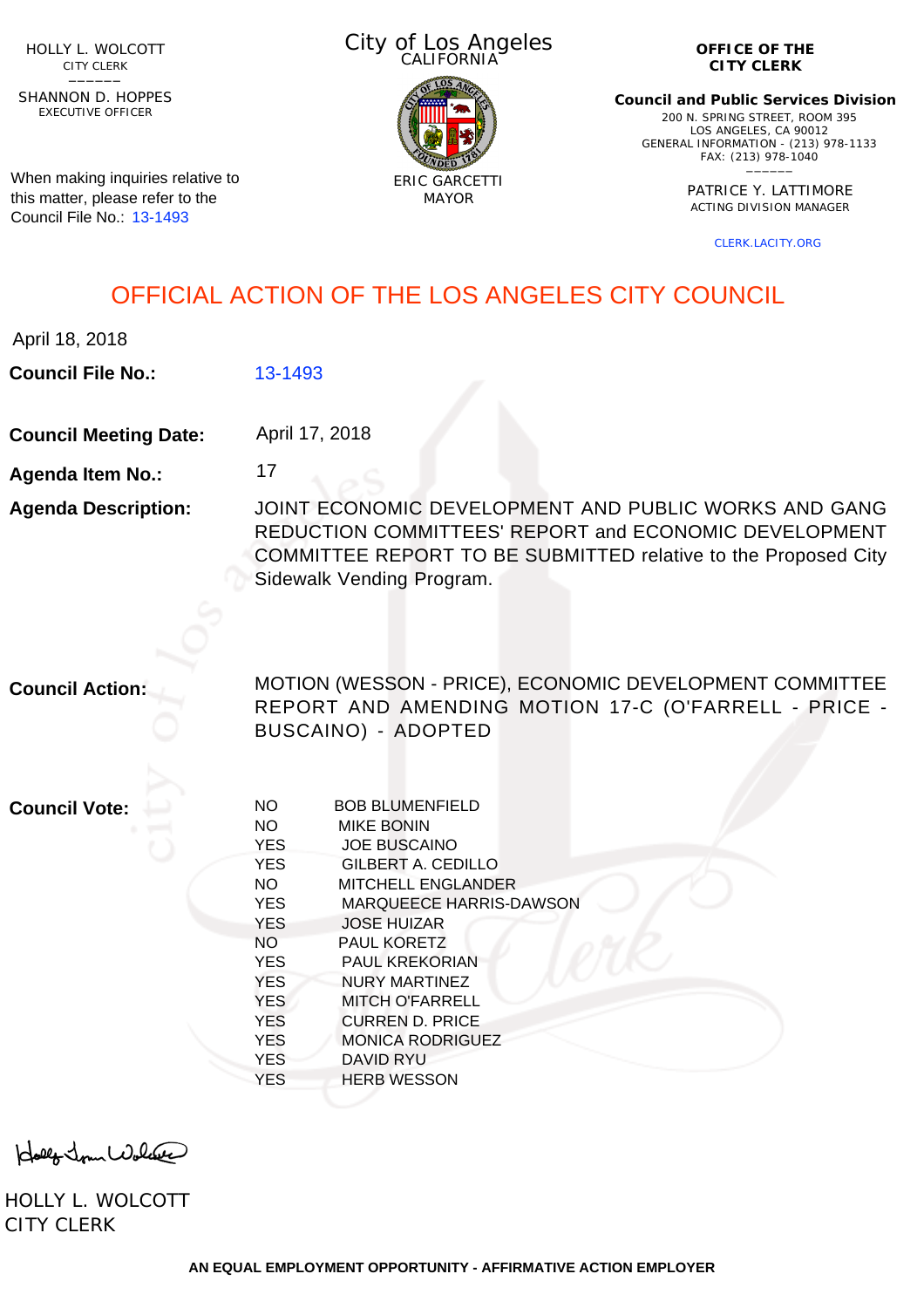HOLLY L. WOLCOTT CITY CLERK<br>—————

EXECUTIVE OFFICER SHANNON D. HOPPES

When making inquiries relative to this matter, please refer to the Council File No.: [13-1493](http://cityclerk.lacity.org/lacityclerkconnect/index.cfm?fa=ccfi.viewrecord&cfnumber=13-1493)

City of Los Angeles CALIFORNIA



**OFFICE OF THE CITY CLERK**

**Council and Public Services Division** 200 N. SPRING STREET, ROOM 395 LOS ANGELES, CA 90012 GENERAL INFORMATION - (213) 978-1133 FAX: (213) 978-1040 \_\_\_\_\_\_

> PATRICE Y. LATTIMORE ACTING DIVISION MANAGER

> > [CLERK.LACITY.ORG](http://clerk.lacity.org)

### OFFICIAL ACTION OF THE LOS ANGELES CITY COUNCIL

April 18, 2018

**Council File No.:** [13-1493](http://cityclerk.lacity.org/lacityclerkconnect/index.cfm?fa=ccfi.viewrecord&cfnumber=13-1493)

**Council Meeting Date:** April 17, 2018

17

**Agenda Item No.:**

**Agenda Description:** JOINT ECONOMIC DEVELOPMENT AND PUBLIC WORKS AND GANG REDUCTION COMMITTEES' REPORT and ECONOMIC DEVELOPMENT COMMITTEE REPORT TO BE SUBMITTED relative to the Proposed City Sidewalk Vending Program.

**Council Action:**

MOTION (WESSON - PRICE), ECONOMIC DEVELOPMENT COMMITTEE REPORT AND AMENDING MOTION 17-C (O'FARRELL - PRICE - BUSCAINO) - ADOPTED

**Council Vote:**

| NΟ         | <b>BOB BLUMENFIELD</b>         |
|------------|--------------------------------|
| <b>NO</b>  | <b>MIKE BONIN</b>              |
| <b>YES</b> | <b>JOE BUSCAINO</b>            |
| <b>YES</b> | GILBERT A. CEDILLO             |
| NO.        | <b>MITCHELL ENGLANDER</b>      |
| <b>YES</b> | <b>MARQUEECE HARRIS-DAWSON</b> |
| <b>YES</b> | <b>JOSE HUIZAR</b>             |
| NO.        | <b>PAUL KORETZ</b>             |
| <b>YES</b> | <b>PAUL KREKORIAN</b>          |
| <b>YES</b> | NURY MARTINEZ                  |
| <b>YES</b> | <b>MITCH O'FARRELL</b>         |
| <b>YES</b> | <b>CURREN D. PRICE</b>         |
| <b>YES</b> | <b>MONICA RODRIGUEZ</b>        |
| <b>YES</b> | DAVID RYU                      |
| YES        | <b>HERB WESSON</b>             |
|            |                                |

Holly Jour Wolfer

HOLLY L. WOLCOTT CITY CLERK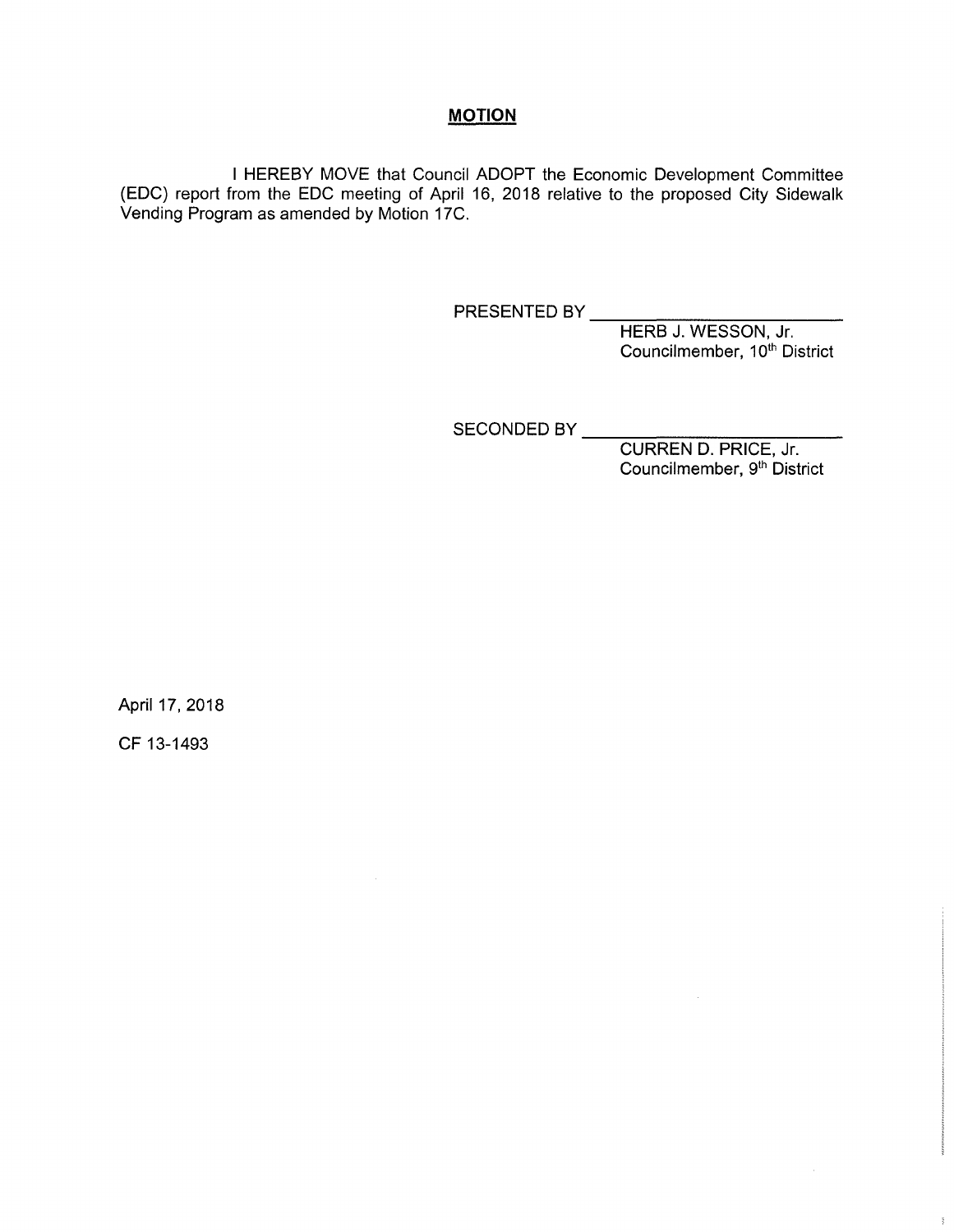#### **MOTION**

<sup>I</sup> HEREBY MOVE that Council ADOPT the Economic Development Committee (EDO) report from the EDO meeting of April 16, 2018 relative to the proposed City Sidewalk Vending Program as amended by Motion 17C.

PRESENTED BY

HERB J. WESSON, Jr. Councilmember, 10<sup>th</sup> District

SECONDED BY

CURREN D. PRICE, Jr. Councilmember, 9<sup>th</sup> District

April 17, 2018

CF 13-1493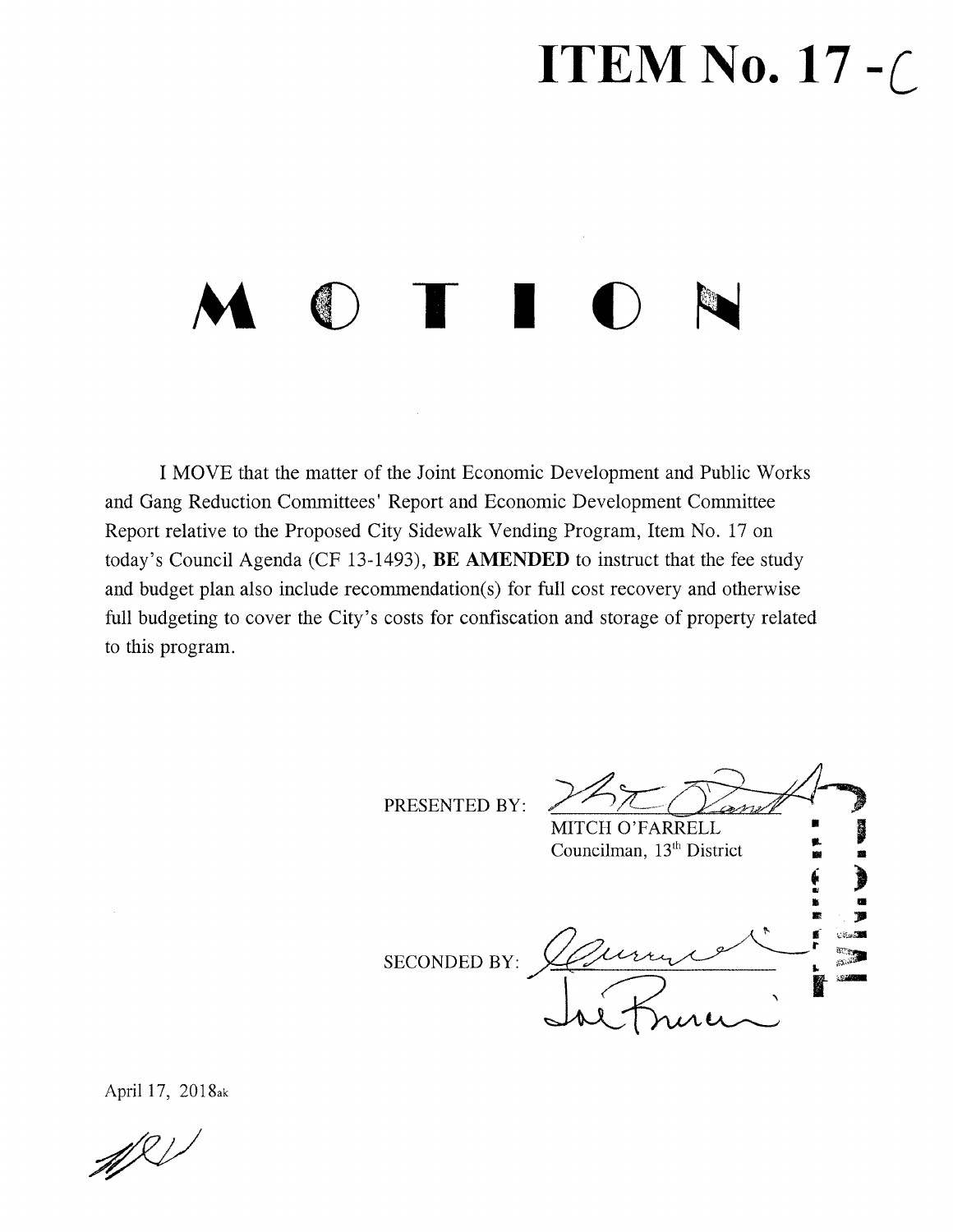## **ITEM No. 17** *-C*

# **M T I** *O* **N**

I MOVE that the matter of the Joint Economic Development and Public Works and Gang Reduction Committees' Report and Economic Development Committee Report relative to the Proposed City Sidewalk Vending Program, Item No. 17 on today's Council Agenda (CF 13-1493), BE AMENDED to instruct that the fee study and budget plan also include recommendation(s) for full cost recovery and otherwise full budgeting to cover the City's costs for confiscation and storage of property related to this program.

PRESENTED BY:

**\** MITCH O'FARRELL Councilman, 13<sup>th</sup> District Is fe **«** *m %* 'CAtf-aSM **r** d.<br>Dina SECONDED BY: *\*

April 17, 2018ak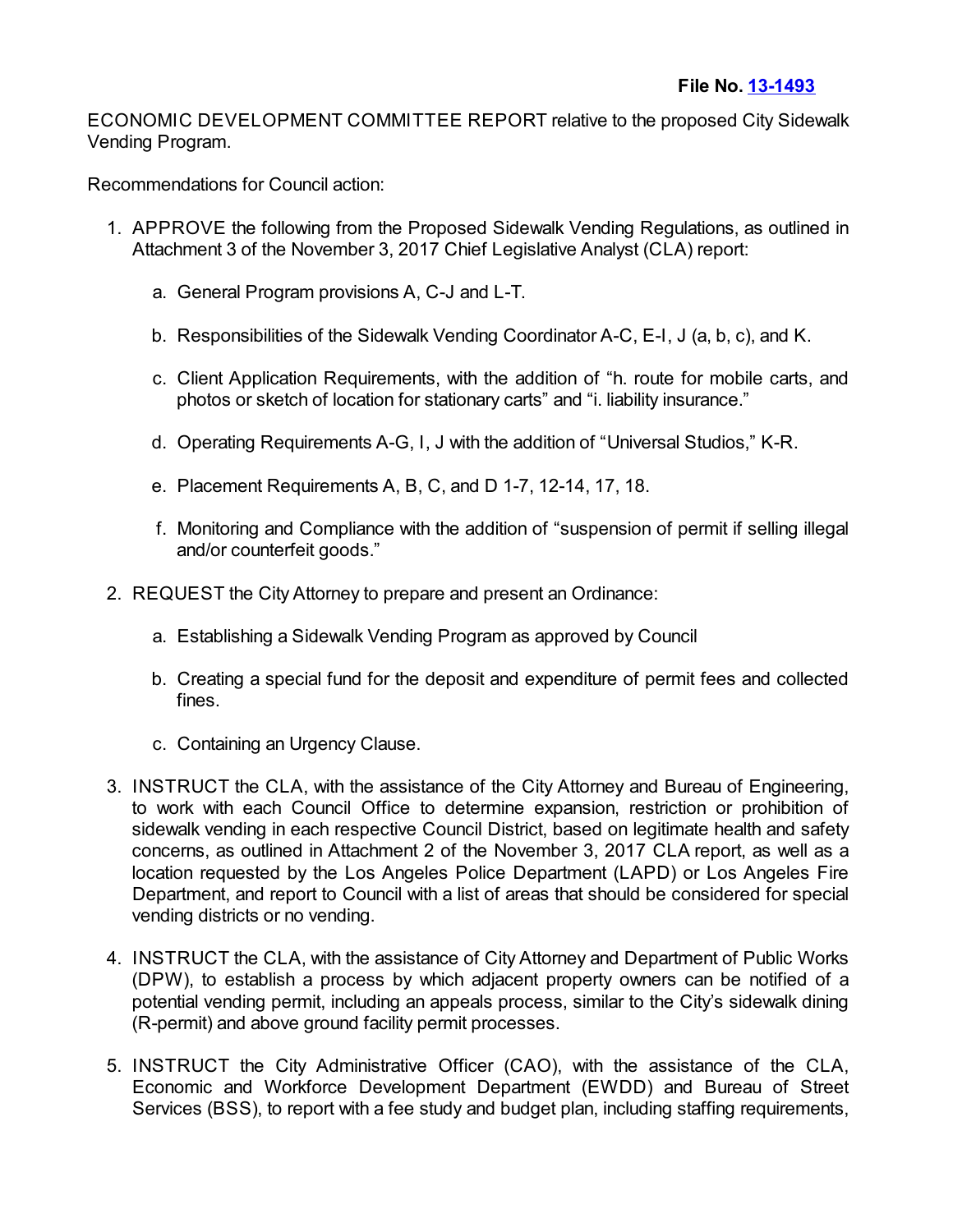ECONOMIC DEVELOPMENT COMMITTEE REPORT relative to the proposed City Sidewalk Vending Program.

Recommendations for Council action:

- 1. APPROVE the following from the Proposed Sidewalk Vending Regulations, as outlined in Attachment 3 of the November 3, 2017 Chief Legislative Analyst (CLA) report:
	- a. General Program provisions A, C-J and L-T.
	- b. Responsibilities of the Sidewalk Vending Coordinator A-C, E-I, J (a, b, c), and K.
	- c. Client Application Requirements, with the addition of "h. route for mobile carts, and photos or sketch of location for stationary carts" and "i. liability insurance."
	- d. Operating Requirements A-G, I, J with the addition of "Universal Studios," K-R.
	- e. Placement Requirements A, B, C, and D 1-7, 12-14, 17, 18.
	- f. Monitoring and Compliance with the addition of "suspension of permit if selling illegal and/or counterfeit goods."
- 2. REQUEST the City Attorney to prepare and present an Ordinance:
	- a. Establishing a Sidewalk Vending Program as approved by Council
	- b. Creating a special fund for the deposit and expenditure of permit fees and collected fines.
	- c. Containing an Urgency Clause.
- 3. INSTRUCT the CLA, with the assistance of the City Attorney and Bureau of Engineering, to work with each Council Office to determine expansion, restriction or prohibition of sidewalk vending in each respective Council District, based on legitimate health and safety concerns, as outlined in Attachment 2 of the November 3, 2017 CLA report, as well as a location requested by the Los Angeles Police Department (LAPD) or Los Angeles Fire Department, and report to Council with a list of areas that should be considered for special vending districts or no vending.
- 4. INSTRUCT the CLA, with the assistance of City Attorney and Department of Public Works (DPW), to establish a process by which adjacent property owners can be notified of a potential vending permit, including an appeals process, similar to the City's sidewalk dining (R-permit) and above ground facility permit processes.
- 5. INSTRUCT the City Administrative Officer (CAO), with the assistance of the CLA, Economic and Workforce Development Department (EWDD) and Bureau of Street Services (BSS), to report with a fee study and budget plan, including staffing requirements,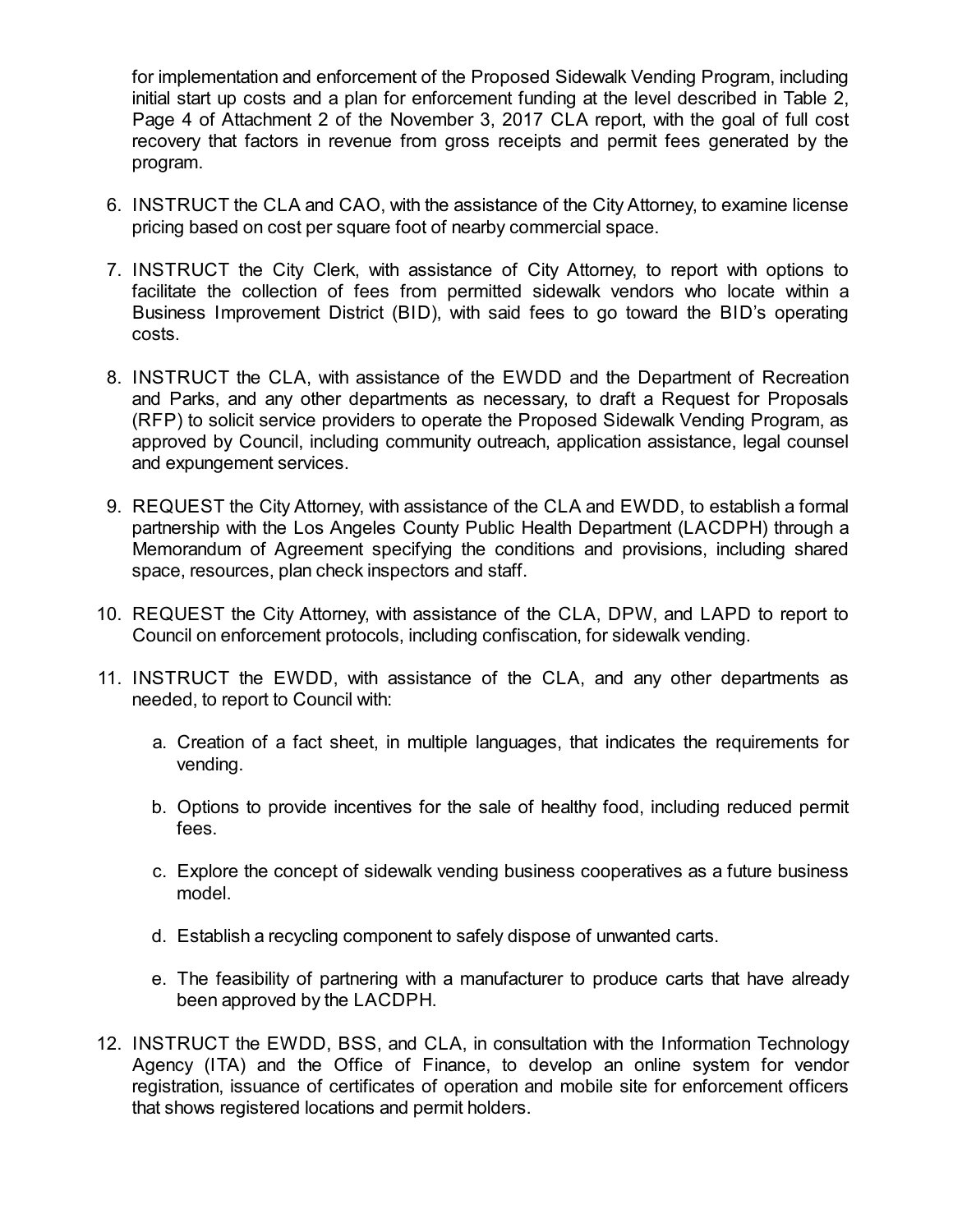for implementation and enforcement of the Proposed Sidewalk Vending Program, including initial start up costs and a plan for enforcement funding at the level described in Table 2, Page 4 of Attachment 2 of the November 3, 2017 CLA report, with the goal of full cost recovery that factors in revenue from gross receipts and permit fees generated by the program.

- 6. INSTRUCT the CLA and CAO, with the assistance of the City Attorney, to examine license pricing based on cost per square foot of nearby commercial space.
- 7. INSTRUCT the City Clerk, with assistance of City Attorney, to report with options to facilitate the collection of fees from permitted sidewalk vendors who locate within a Business Improvement District (BID), with said fees to go toward the BID's operating costs.
- 8. INSTRUCT the CLA, with assistance of the EWDD and the Department of Recreation and Parks, and any other departments as necessary, to draft a Request for Proposals (RFP) to solicit service providers to operate the Proposed Sidewalk Vending Program, as approved by Council, including community outreach, application assistance, legal counsel and expungement services.
- 9. REQUEST the City Attorney, with assistance of the CLA and EWDD, to establish a formal partnership with the Los Angeles County Public Health Department (LACDPH) through a Memorandum of Agreement specifying the conditions and provisions, including shared space, resources, plan check inspectors and staff.
- 10. REQUEST the City Attorney, with assistance of the CLA, DPW, and LAPD to report to Council on enforcement protocols, including confiscation, for sidewalk vending.
- 11. INSTRUCT the EWDD, with assistance of the CLA, and any other departments as needed, to report to Council with:
	- a. Creation of a fact sheet, in multiple languages, that indicates the requirements for vending.
	- b. Options to provide incentives for the sale of healthy food, including reduced permit fees.
	- c. Explore the concept of sidewalk vending business cooperatives as a future business model.
	- d. Establish a recycling component to safely dispose of unwanted carts.
	- e. The feasibility of partnering with a manufacturer to produce carts that have already been approved by the LACDPH.
- 12. INSTRUCT the EWDD, BSS, and CLA, in consultation with the Information Technology Agency (ITA) and the Office of Finance, to develop an online system for vendor registration, issuance of certificates of operation and mobile site for enforcement officers that shows registered locations and permit holders.